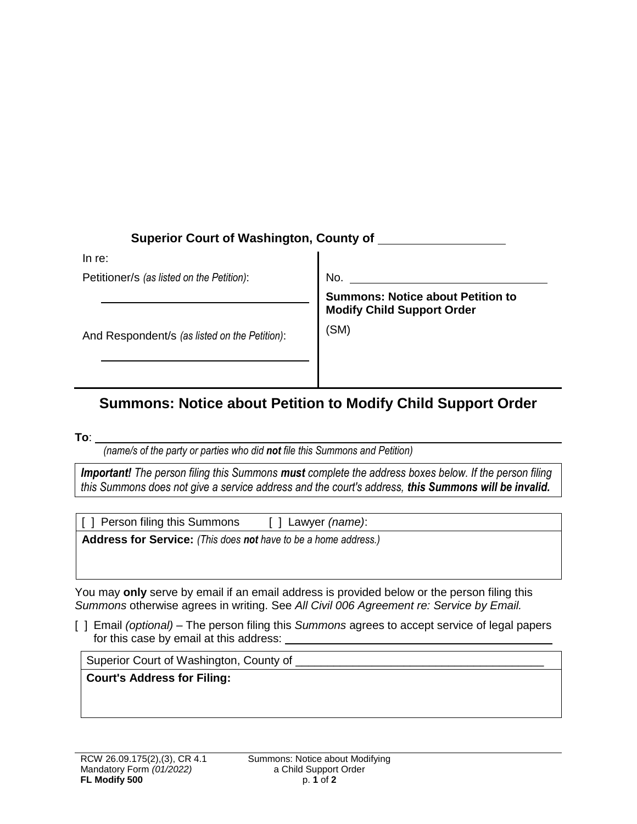| <b>Superior Court of Washington, County of</b> |                                                                                       |
|------------------------------------------------|---------------------------------------------------------------------------------------|
| In re:                                         |                                                                                       |
| Petitioner/s (as listed on the Petition):      | No.                                                                                   |
| And Respondent/s (as listed on the Petition):  | <b>Summons: Notice about Petition to</b><br><b>Modify Child Support Order</b><br>(SM) |

## **Summons: Notice about Petition to Modify Child Support Order**

**To**:

*(name/s of the party or parties who did not file this Summons and Petition)*

*Important! The person filing this Summons must complete the address boxes below. If the person filing this Summons does not give a service address and the court's address, this Summons will be invalid.*

[ ] Person filing this Summons [ ] Lawyer *(name)*:

**Address for Service:** *(This does not have to be a home address.)* 

You may **only** serve by email if an email address is provided below or the person filing this *Summons* otherwise agrees in writing. See *All Civil 006 Agreement re: Service by Email.*

[ ] Email *(optional)* – The person filing this *Summons* agrees to accept service of legal papers for this case by email at this address:

Superior Court of Washington, County of

**Court's Address for Filing:**